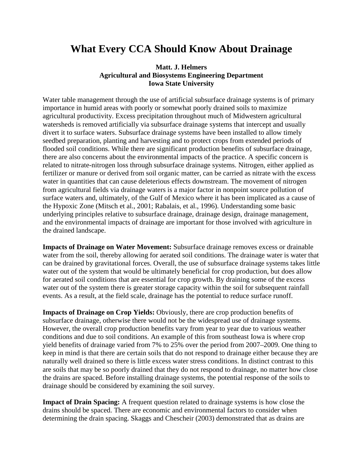## **What Every CCA Should Know About Drainage**

## **Matt. J. Helmers Agricultural and Biosystems Engineering Department Iowa State University**

Water table management through the use of artificial subsurface drainage systems is of primary importance in humid areas with poorly or somewhat poorly drained soils to maximize agricultural productivity. Excess precipitation throughout much of Midwestern agricultural watersheds is removed artificially via subsurface drainage systems that intercept and usually divert it to surface waters. Subsurface drainage systems have been installed to allow timely seedbed preparation, planting and harvesting and to protect crops from extended periods of flooded soil conditions. While there are significant production benefits of subsurface drainage, there are also concerns about the environmental impacts of the practice. A specific concern is related to nitrate-nitrogen loss through subsurface drainage systems. Nitrogen, either applied as fertilizer or manure or derived from soil organic matter, can be carried as nitrate with the excess water in quantities that can cause deleterious effects downstream. The movement of nitrogen from agricultural fields via drainage waters is a major factor in nonpoint source pollution of surface waters and, ultimately, of the Gulf of Mexico where it has been implicated as a cause of the Hypoxic Zone (Mitsch et al., 2001; Rabalais, et al., 1996). Understanding some basic underlying principles relative to subsurface drainage, drainage design, drainage management, and the environmental impacts of drainage are important for those involved with agriculture in the drained landscape.

**Impacts of Drainage on Water Movement:** Subsurface drainage removes excess or drainable water from the soil, thereby allowing for aerated soil conditions. The drainage water is water that can be drained by gravitational forces. Overall, the use of subsurface drainage systems takes little water out of the system that would be ultimately beneficial for crop production, but does allow for aerated soil conditions that are essential for crop growth. By draining some of the excess water out of the system there is greater storage capacity within the soil for subsequent rainfall events. As a result, at the field scale, drainage has the potential to reduce surface runoff.

**Impacts of Drainage on Crop Yields:** Obviously, there are crop production benefits of subsurface drainage, otherwise there would not be the widespread use of drainage systems. However, the overall crop production benefits vary from year to year due to various weather conditions and due to soil conditions. An example of this from southeast Iowa is where crop yield benefits of drainage varied from 7% to 25% over the period from 2007–2009. One thing to keep in mind is that there are certain soils that do not respond to drainage either because they are naturally well drained so there is little excess water stress conditions. In distinct contrast to this are soils that may be so poorly drained that they do not respond to drainage, no matter how close the drains are spaced. Before installing drainage systems, the potential response of the soils to drainage should be considered by examining the soil survey.

**Impact of Drain Spacing:** A frequent question related to drainage systems is how close the drains should be spaced. There are economic and environmental factors to consider when determining the drain spacing. Skaggs and Chescheir (2003) demonstrated that as drains are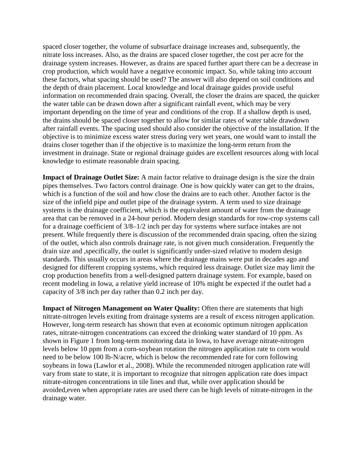spaced closer together, the volume of subsurface drainage increases and, subsequently, the nitrate loss increases. Also, as the drains are spaced closer together, the cost per acre for the drainage system increases. However, as drains are spaced further apart there can be a decrease in crop production, which would have a negative economic impact. So, while taking into account these factors, what spacing should be used? The answer will also depend on soil conditions and the depth of drain placement. Local knowledge and local drainage guides provide useful information on recommended drain spacing. Overall, the closer the drains are spaced, the quicker the water table can be drawn down after a significant rainfall event, which may be very important depending on the time of year and conditions of the crop. If a shallow depth is used, the drains should be spaced closer together to allow for similar rates of water table drawdown after rainfall events. The spacing used should also consider the objective of the installation. If the objective is to minimize excess water stress during very wet years, one would want to install the drains closer together than if the objective is to maximize the long-term return from the investment in drainage. State or regional drainage guides are excellent resources along with local knowledge to estimate reasonable drain spacing.

**Impact of Drainage Outlet Size:** A main factor relative to drainage design is the size the drain pipes themselves. Two factors control drainage. One is how quickly water can get to the drains, which is a function of the soil and how close the drains are to each other. Another factor is the size of the infield pipe and outlet pipe of the drainage system. A term used to size drainage systems is the drainage coefficient, which is the equivalent amount of water from the drainage area that can be removed in a 24-hour period. Modern design standards for row-crop systems call for a drainage coefficient of 3/8–1/2 inch per day for systems where surface intakes are not present. While frequently there is discussion of the recommended drain spacing, often the sizing of the outlet, which also controls drainage rate, is not given much consideration. Frequently the drain size and ,specifically, the outlet is significantly under-sized relative to modern design standards. This usually occurs in areas where the drainage mains were put in decades ago and designed for different cropping systems, which required less drainage. Outlet size may limit the crop production benefits from a well-designed pattern drainage system. For example, based on recent modeling in Iowa, a relative yield increase of 10% might be expected if the outlet had a capacity of 3/8 inch per day rather than 0.2 inch per day.

**Impact of Nitrogen Management on Water Quality:** Often there are statements that high nitrate-nitrogen levels exiting from drainage systems are a result of excess nitrogen application. However, long-term research has shown that even at economic optimum nitrogen application rates, nitrate-nitrogen concentrations can exceed the drinking water standard of 10 ppm. As shown in Figure 1 from long-term monitoring data in Iowa, to have average nitrate-nitrogen levels below 10 ppm from a corn-soybean rotation the nitrogen application rate to corn would need to be below 100 lb-N/acre, which is below the recommended rate for corn following soybeans in Iowa (Lawlor et al., 2008). While the recommended nitrogen application rate will vary from state to state, it is important to recognize that nitrogen application rate does impact nitrate-nitrogen concentrations in tile lines and that, while over application should be avoided,even when appropriate rates are used there can be high levels of nitrate-nitrogen in the drainage water.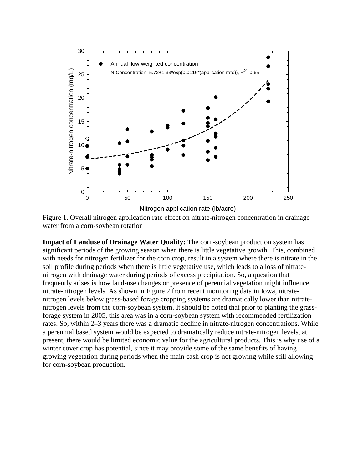

Figure 1. Overall nitrogen application rate effect on nitrate-nitrogen concentration in drainage water from a corn-soybean rotation

**Impact of Landuse of Drainage Water Quality:** The corn-soybean production system has significant periods of the growing season when there is little vegetative growth. This, combined with needs for nitrogen fertilizer for the corn crop, result in a system where there is nitrate in the soil profile during periods when there is little vegetative use, which leads to a loss of nitratenitrogen with drainage water during periods of excess precipitation. So, a question that frequently arises is how land-use changes or presence of perennial vegetation might influence nitrate-nitrogen levels. As shown in Figure 2 from recent monitoring data in Iowa, nitratenitrogen levels below grass-based forage cropping systems are dramatically lower than nitratenitrogen levels from the corn-soybean system. It should be noted that prior to planting the grassforage system in 2005, this area was in a corn-soybean system with recommended fertilization rates. So, within 2–3 years there was a dramatic decline in nitrate-nitrogen concentrations. While a perennial based system would be expected to dramatically reduce nitrate-nitrogen levels, at present, there would be limited economic value for the agricultural products. This is why use of a winter cover crop has potential, since it may provide some of the same benefits of having growing vegetation during periods when the main cash crop is not growing while still allowing for corn-soybean production.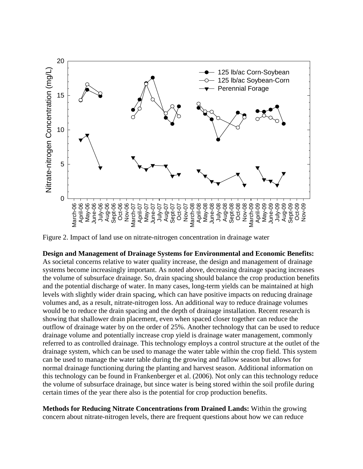

Figure 2. Impact of land use on nitrate-nitrogen concentration in drainage water

## **Design and Management of Drainage Systems for Environmental and Economic Benefits:**

As societal concerns relative to water quality increase, the design and management of drainage systems become increasingly important. As noted above, decreasing drainage spacing increases the volume of subsurface drainage. So, drain spacing should balance the crop production benefits and the potential discharge of water. In many cases, long-term yields can be maintained at high levels with slightly wider drain spacing, which can have positive impacts on reducing drainage volumes and, as a result, nitrate-nitrogen loss. An additional way to reduce drainage volumes would be to reduce the drain spacing and the depth of drainage installation. Recent research is showing that shallower drain placement, even when spaced closer together can reduce the outflow of drainage water by on the order of 25%. Another technology that can be used to reduce drainage volume and potentially increase crop yield is drainage water management, commonly referred to as controlled drainage. This technology employs a control structure at the outlet of the drainage system, which can be used to manage the water table within the crop field. This system can be used to manage the water table during the growing and fallow season but allows for normal drainage functioning during the planting and harvest season. Additional information on this technology can be found in Frankenberger et al. (2006). Not only can this technology reduce the volume of subsurface drainage, but since water is being stored within the soil profile during certain times of the year there also is the potential for crop production benefits.

**Methods for Reducing Nitrate Concentrations from Drained Lands:** Within the growing concern about nitrate-nitrogen levels, there are frequent questions about how we can reduce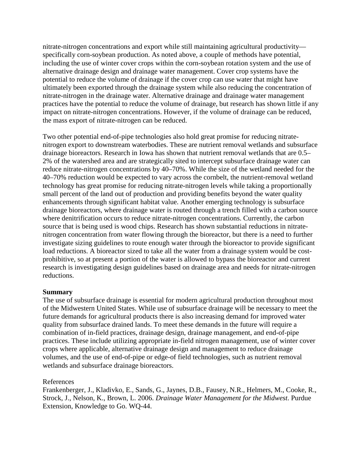nitrate-nitrogen concentrations and export while still maintaining agricultural productivity specifically corn-soybean production. As noted above, a couple of methods have potential, including the use of winter cover crops within the corn-soybean rotation system and the use of alternative drainage design and drainage water management. Cover crop systems have the potential to reduce the volume of drainage if the cover crop can use water that might have ultimately been exported through the drainage system while also reducing the concentration of nitrate-nitrogen in the drainage water. Alternative drainage and drainage water management practices have the potential to reduce the volume of drainage, but research has shown little if any impact on nitrate-nitrogen concentrations. However, if the volume of drainage can be reduced, the mass export of nitrate-nitrogen can be reduced.

Two other potential end-of-pipe technologies also hold great promise for reducing nitratenitrogen export to downstream waterbodies. These are nutrient removal wetlands and subsurface drainage bioreactors. Research in Iowa has shown that nutrient removal wetlands that are 0.5– 2% of the watershed area and are strategically sited to intercept subsurface drainage water can reduce nitrate-nitrogen concentrations by 40–70%. While the size of the wetland needed for the 40–70% reduction would be expected to vary across the cornbelt, the nutrient-removal wetland technology has great promise for reducing nitrate-nitrogen levels while taking a proportionally small percent of the land out of production and providing benefits beyond the water quality enhancements through significant habitat value. Another emerging technology is subsurface drainage bioreactors, where drainage water is routed through a trench filled with a carbon source where denitrification occurs to reduce nitrate-nitrogen concentrations. Currently, the carbon source that is being used is wood chips. Research has shown substantial reductions in nitratenitrogen concentration from water flowing through the bioreactor, but there is a need to further investigate sizing guidelines to route enough water through the bioreactor to provide significant load reductions. A bioreactor sized to take all the water from a drainage system would be costprohibitive, so at present a portion of the water is allowed to bypass the bioreactor and current research is investigating design guidelines based on drainage area and needs for nitrate-nitrogen reductions.

## **Summary**

The use of subsurface drainage is essential for modern agricultural production throughout most of the Midwestern United States. While use of subsurface drainage will be necessary to meet the future demands for agricultural products there is also increasing demand for improved water quality from subsurface drained lands. To meet these demands in the future will require a combination of in-field practices, drainage design, drainage management, and end-of-pipe practices. These include utilizing appropriate in-field nitrogen management, use of winter cover crops where applicable, alternative drainage design and management to reduce drainage volumes, and the use of end-of-pipe or edge-of field technologies, such as nutrient removal wetlands and subsurface drainage bioreactors.

References

Frankenberger, J., Kladivko, E., Sands, G., Jaynes, D.B., Fausey, N.R., Helmers, M., Cooke, R., Strock, J., Nelson, K., Brown, L. 2006. *Drainage Water Management for the Midwest*. Purdue Extension, Knowledge to Go. WQ-44.